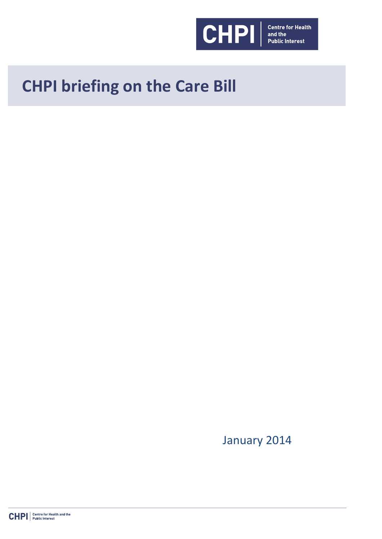

# **CHPI briefing on the Care Bill**

January 2014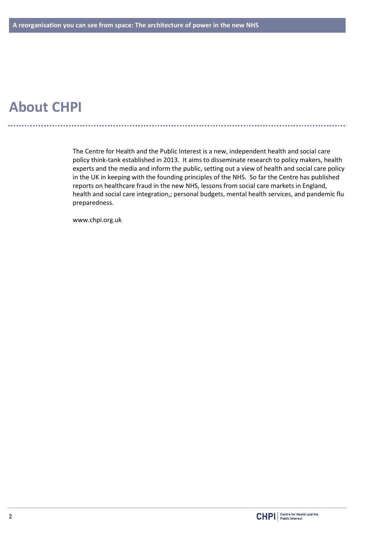# **About CHPI**

The Centre for Health and the Public Interest is a new, independent health and social care policy think-tank established in 2013. It aims to disseminate research to policy makers, health experts and the media and inform the public, setting out a view of health and social care policy in the UK in keeping with the founding principles of the NHS. So far the Centre has published reports on healthcare fraud in the new NHS, lessons from social care markets in England, health and social care integration,; personal budgets, mental health services, and pandemic flu preparedness.

www.chpi.org.uk

<u>. . . . . . . . . . . . . . . . .</u>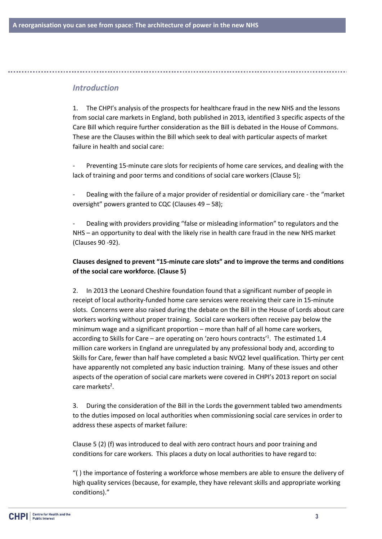## *Introduction*

1. The CHPI's analysis of the prospects for healthcare fraud in the new NHS and the lessons from social care markets in England, both published in 2013, identified 3 specific aspects of the Care Bill which require further consideration as the Bill is debated in the House of Commons. These are the Clauses within the Bill which seek to deal with particular aspects of market failure in health and social care:

- Preventing 15-minute care slots for recipients of home care services, and dealing with the lack of training and poor terms and conditions of social care workers (Clause 5);

- Dealing with the failure of a major provider of residential or domiciliary care - the "market oversight" powers granted to CQC (Clauses 49 – 58);

- Dealing with providers providing "false or misleading information" to regulators and the NHS – an opportunity to deal with the likely rise in health care fraud in the new NHS market (Clauses 90 -92).

## **Clauses designed to prevent "15-minute care slots" and to improve the terms and conditions of the social care workforce. (Clause 5)**

2. In 2013 the Leonard Cheshire foundation found that a significant number of people in receipt of local authority-funded home care services were receiving their care in 15-minute slots. Concerns were also raised during the debate on the Bill in the House of Lords about care workers working without proper training. Social care workers often receive pay below the minimum wage and a significant proportion – more than half of all home care workers, according to Skills for Care – are operating on 'zero hours contracts'<sup>1</sup>. The estimated 1.4 million care workers in England are unregulated by any professional body and, according to Skills for Care, fewer than half have completed a basic NVQ2 level qualification. Thirty per cent have apparently not completed any basic induction training. Many of these issues and other aspects of the operation of social care markets were covered in CHPI's 2013 report on social care markets<sup>2</sup>.

3. During the consideration of the Bill in the Lords the government tabled two amendments to the duties imposed on local authorities when commissioning social care services in order to address these aspects of market failure:

Clause 5 (2) (f) was introduced to deal with zero contract hours and poor training and conditions for care workers. This places a duty on local authorities to have regard to:

"( ) the importance of fostering a workforce whose members are able to ensure the delivery of high quality services (because, for example, they have relevant skills and appropriate working conditions)."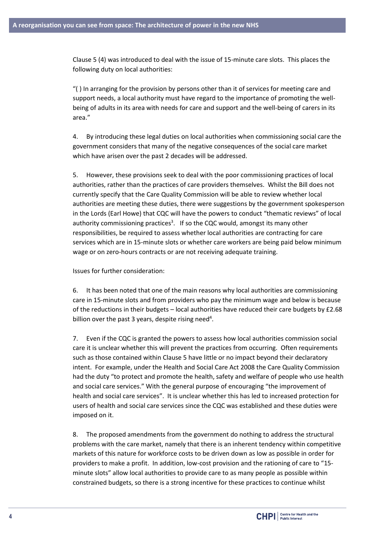Clause 5 (4) was introduced to deal with the issue of 15-minute care slots. This places the following duty on local authorities:

"( ) In arranging for the provision by persons other than it of services for meeting care and support needs, a local authority must have regard to the importance of promoting the wellbeing of adults in its area with needs for care and support and the well-being of carers in its area."

4. By introducing these legal duties on local authorities when commissioning social care the government considers that many of the negative consequences of the social care market which have arisen over the past 2 decades will be addressed.

5. However, these provisions seek to deal with the poor commissioning practices of local authorities, rather than the practices of care providers themselves. Whilst the Bill does not currently specify that the Care Quality Commission will be able to review whether local authorities are meeting these duties, there were suggestions by the government spokesperson in the Lords (Earl Howe) that CQC will have the powers to conduct "thematic reviews" of local authority commissioning practices<sup>3</sup>. If so the CQC would, amongst its many other responsibilities, be required to assess whether local authorities are contracting for care services which are in 15-minute slots or whether care workers are being paid below minimum wage or on zero-hours contracts or are not receiving adequate training.

Issues for further consideration:

6. It has been noted that one of the main reasons why local authorities are commissioning care in 15-minute slots and from providers who pay the minimum wage and below is because of the reductions in their budgets – local authorities have reduced their care budgets by  $£2.68$ billion over the past 3 years, despite rising need<sup>4</sup>.

7. Even if the CQC is granted the powers to assess how local authorities commission social care it is unclear whether this will prevent the practices from occurring. Often requirements such as those contained within Clause 5 have little or no impact beyond their declaratory intent. For example, under the Health and Social Care Act 2008 the Care Quality Commission had the duty "to protect and promote the health, safety and welfare of people who use health and social care services." With the general purpose of encouraging "the improvement of health and social care services". It is unclear whether this has led to increased protection for users of health and social care services since the CQC was established and these duties were imposed on it.

8. The proposed amendments from the government do nothing to address the structural problems with the care market, namely that there is an inherent tendency within competitive markets of this nature for workforce costs to be driven down as low as possible in order for providers to make a profit. In addition, low-cost provision and the rationing of care to "15 minute slots" allow local authorities to provide care to as many people as possible within constrained budgets, so there is a strong incentive for these practices to continue whilst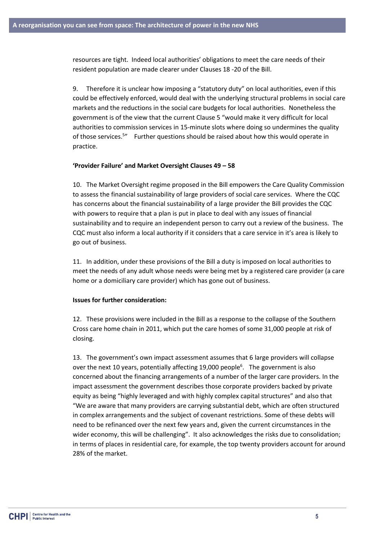resources are tight. Indeed local authorities' obligations to meet the care needs of their resident population are made clearer under Clauses 18 -20 of the Bill.

9. Therefore it is unclear how imposing a "statutory duty" on local authorities, even if this could be effectively enforced, would deal with the underlying structural problems in social care markets and the reductions in the social care budgets for local authorities. Nonetheless the government is of the view that the current Clause 5 "would make it very difficult for local authorities to commission services in 15-minute slots where doing so undermines the quality of those services.<sup>5</sup>" Further questions should be raised about how this would operate in practice.

#### **'Provider Failure' and Market Oversight Clauses 49 – 58**

10. The Market Oversight regime proposed in the Bill empowers the Care Quality Commission to assess the financial sustainability of large providers of social care services. Where the CQC has concerns about the financial sustainability of a large provider the Bill provides the CQC with powers to require that a plan is put in place to deal with any issues of financial sustainability and to require an independent person to carry out a review of the business. The CQC must also inform a local authority if it considers that a care service in it's area is likely to go out of business.

11. In addition, under these provisions of the Bill a duty is imposed on local authorities to meet the needs of any adult whose needs were being met by a registered care provider (a care home or a domiciliary care provider) which has gone out of business.

#### **Issues for further consideration:**

12. These provisions were included in the Bill as a response to the collapse of the Southern Cross care home chain in 2011, which put the care homes of some 31,000 people at risk of closing.

13. The government's own impact assessment assumes that 6 large providers will collapse over the next 10 years, potentially affecting 19,000 people<sup>6</sup>. The government is also concerned about the financing arrangements of a number of the larger care providers. In the impact assessment the government describes those corporate providers backed by private equity as being "highly leveraged and with highly complex capital structures" and also that "We are aware that many providers are carrying substantial debt, which are often structured in complex arrangements and the subject of covenant restrictions. Some of these debts will need to be refinanced over the next few years and, given the current circumstances in the wider economy, this will be challenging". It also acknowledges the risks due to consolidation; in terms of places in residential care, for example, the top twenty providers account for around 28% of the market.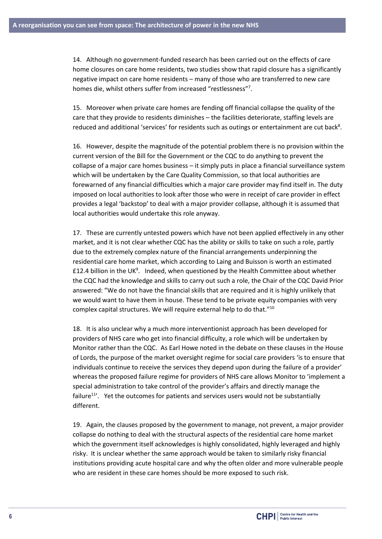14. Although no government-funded research has been carried out on the effects of care home closures on care home residents, two studies show that rapid closure has a significantly negative impact on care home residents – many of those who are transferred to new care homes die, whilst others suffer from increased "restlessness"7.

15. Moreover when private care homes are fending off financial collapse the quality of the care that they provide to residents diminishes – the facilities deteriorate, staffing levels are reduced and additional 'services' for residents such as outings or entertainment are cut back<sup>8</sup>.

16. However, despite the magnitude of the potential problem there is no provision within the current version of the Bill for the Government or the CQC to do anything to prevent the collapse of a major care homes business – it simply puts in place a financial surveillance system which will be undertaken by the Care Quality Commission, so that local authorities are forewarned of any financial difficulties which a major care provider may find itself in. The duty imposed on local authorities to look after those who were in receipt of care provider in effect provides a legal 'backstop' to deal with a major provider collapse, although it is assumed that local authorities would undertake this role anyway.

17. These are currently untested powers which have not been applied effectively in any other market, and it is not clear whether CQC has the ability or skills to take on such a role, partly due to the extremely complex nature of the financial arrangements underpinning the residential care home market, which according to Laing and Buisson is worth an estimated £12.4 billion in the UK<sup>9</sup>. Indeed, when questioned by the Health Committee about whether the CQC had the knowledge and skills to carry out such a role, the Chair of the CQC David Prior answered: "We do not have the financial skills that are required and it is highly unlikely that we would want to have them in house. These tend to be private equity companies with very complex capital structures. We will require external help to do that." $^{10}$ 

18. It is also unclear why a much more interventionist approach has been developed for providers of NHS care who get into financial difficulty, a role which will be undertaken by Monitor rather than the CQC. As Earl Howe noted in the debate on these clauses in the House of Lords, the purpose of the market oversight regime for social care providers 'is to ensure that individuals continue to receive the services they depend upon during the failure of a provider' whereas the proposed failure regime for providers of NHS care allows Monitor to 'implement a special administration to take control of the provider's affairs and directly manage the failure $11'$ . Yet the outcomes for patients and services users would not be substantially different.

19. Again, the clauses proposed by the government to manage, not prevent, a major provider collapse do nothing to deal with the structural aspects of the residential care home market which the government itself acknowledges is highly consolidated, highly leveraged and highly risky. It is unclear whether the same approach would be taken to similarly risky financial institutions providing acute hospital care and why the often older and more vulnerable people who are resident in these care homes should be more exposed to such risk.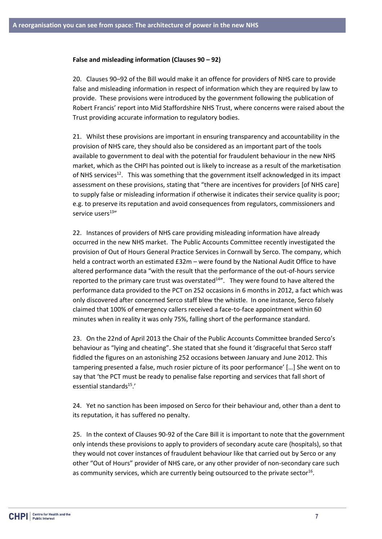#### **False and misleading information (Clauses 90 – 92)**

20. Clauses 90–92 of the Bill would make it an offence for providers of NHS care to provide false and misleading information in respect of information which they are required by law to provide. These provisions were introduced by the government following the publication of Robert Francis' report into Mid Staffordshire NHS Trust, where concerns were raised about the Trust providing accurate information to regulatory bodies.

21. Whilst these provisions are important in ensuring transparency and accountability in the provision of NHS care, they should also be considered as an important part of the tools available to government to deal with the potential for fraudulent behaviour in the new NHS market, which as the CHPI has pointed out is likely to increase as a result of the marketisation of NHS services<sup>12</sup>. This was something that the government itself acknowledged in its impact assessment on these provisions, stating that "there are incentives for providers [of NHS care] to supply false or misleading information if otherwise it indicates their service quality is poor; e.g. to preserve its reputation and avoid consequences from regulators, commissioners and service users<sup>13"</sup>

22. Instances of providers of NHS care providing misleading information have already occurred in the new NHS market. The Public Accounts Committee recently investigated the provision of Out of Hours General Practice Services in Cornwall by Serco. The company, which held a contract worth an estimated £32m – were found by the National Audit Office to have altered performance data "with the result that the performance of the out-of-hours service reported to the primary care trust was overstated $14''$ . They were found to have altered the performance data provided to the PCT on 252 occasions in 6 months in 2012, a fact which was only discovered after concerned Serco staff blew the whistle. In one instance, Serco falsely claimed that 100% of emergency callers received a face-to-face appointment within 60 minutes when in reality it was only 75%, falling short of the performance standard.

23. On the 22nd of April 2013 the Chair of the Public Accounts Committee branded Serco's behaviour as "lying and cheating". She stated that she found it 'disgraceful that Serco staff fiddled the figures on an astonishing 252 occasions between January and June 2012. This tampering presented a false, much rosier picture of its poor performance' […] She went on to say that 'the PCT must be ready to penalise false reporting and services that fall short of essential standards<sup>15</sup>.'

24. Yet no sanction has been imposed on Serco for their behaviour and, other than a dent to its reputation, it has suffered no penalty.

25. In the context of Clauses 90-92 of the Care Bill it is important to note that the government only intends these provisions to apply to providers of secondary acute care (hospitals), so that they would not cover instances of fraudulent behaviour like that carried out by Serco or any other "Out of Hours" provider of NHS care, or any other provider of non-secondary care such as community services, which are currently being outsourced to the private sector<sup>16</sup>.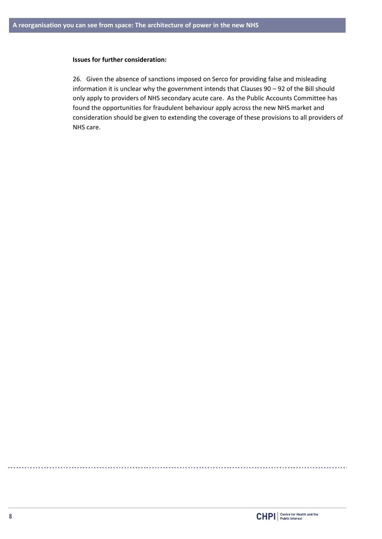### **Issues for further consideration:**

26. Given the absence of sanctions imposed on Serco for providing false and misleading information it is unclear why the government intends that Clauses 90 – 92 of the Bill should only apply to providers of NHS secondary acute care. As the Public Accounts Committee has found the opportunities for fraudulent behaviour apply across the new NHS market and consideration should be given to extending the coverage of these provisions to all providers of NHS care.